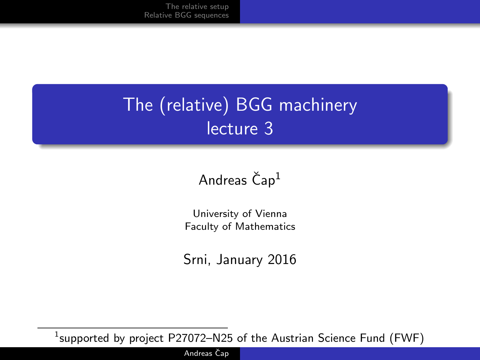## The (relative) BGG machinery lecture 3

#### Andreas  $\text{Čap}^1$

University of Vienna Faculty of Mathematics

Srni, January 2016

 $^1$ supported by project <code>P27072–N25</code> of the Austrian Science Fund (FWF)

Andreas Čap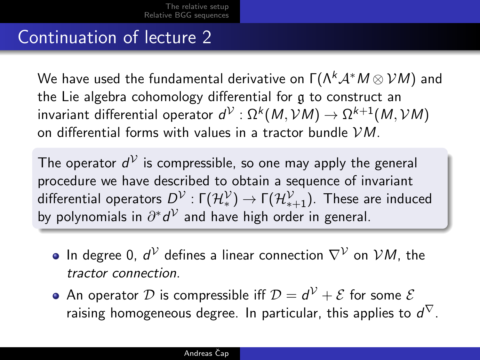#### Continuation of lecture 2

We have used the fundamental derivative on  $\Gamma(\Lambda^k \mathcal{A}^* M \otimes \mathcal{V} M)$  and the Lie algebra cohomology differential for g to construct an invariant differential operator  $d^{\mathcal{V}}: \Omega^k(M, \mathcal{V}M) \to \Omega^{k+1}(M, \mathcal{V}M)$ on differential forms with values in a tractor bundle VM.

The operator  $d^\mathcal{V}$  is compressible, so one may apply the general procedure we have described to obtain a sequence of invariant differential operators  $D^\mathcal{V}:\mathsf{\Gamma}(\mathcal{H}_*^\mathcal{V})\to \mathsf{\Gamma}(\mathcal{H}_{*+1}^\mathcal{V}).$  These are induced by polynomials in  $\partial^*d^{\mathcal{V}}$  and have high order in general.

- In degree 0,  $d^\mathcal{V}$  defines a linear connection  $\nabla^\mathcal{V}$  on  $\mathcal{V} M$ , the tractor connection.
- An operator  ${\cal D}$  is compressible iff  ${\cal D} = d^{\cal V} + {\cal E}$  for some  ${\cal E}$ raising homogeneous degree. In particular, this applies to  $d^{\nabla}.$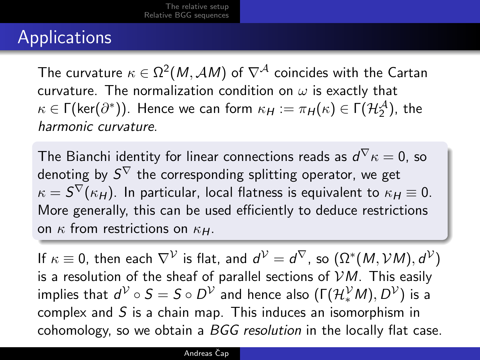## Applications

The curvature  $\kappa\in\Omega^2(\mathit{M},\mathcal{A}\mathit{M})$  of  $\nabla^\mathcal{A}$  coincides with the Cartan curvature. The normalization condition on  $\omega$  is exactly that  $\kappa \in \Gamma(\mathsf{ker}(\partial^*))$ . Hence we can form  $\kappa_H := \pi_H(\kappa) \in \Gamma(\mathcal{H}_2^\mathcal{A})$ , the harmonic curvature.

The Bianchi identity for linear connections reads as  $d^\nabla \kappa = 0$ , so denoting by  $S^\nabla$  the corresponding splitting operator, we get  $\kappa = \mathcal{S}^\nabla(\kappa_H).$  In particular, local flatness is equivalent to  $\kappa_H\equiv 0.$ More generally, this can be used efficiently to deduce restrictions on  $\kappa$  from restrictions on  $\kappa$ <sub>H</sub>.

If  $\kappa\equiv$  0, then each  $\nabla^\mathcal{V}$  is flat, and  $d^\mathcal{V}=d^\nabla$ , so  $(\Omega^*(M, \mathcal{V}M), d^\mathcal{V})$ is a resolution of the sheaf of parallel sections of  $VM$ . This easily implies that  $d^\mathcal{V} \circ S = S \circ D^\mathcal{V}$  and hence also  $(\Gamma(\mathcal{H}_*^\mathcal{V} M), D^\mathcal{V})$  is a complex and S is a chain map. This induces an isomorphism in cohomology, so we obtain a BGG resolution in the locally flat case.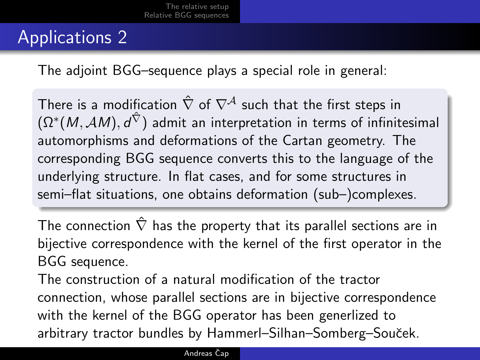### Applications 2

The adjoint BGG–sequence plays a special role in general:

There is a modification  $\hat{\nabla}$  of  $\nabla^{\mathcal{A}}$  such that the first steps in  $(\Omega^*(M, \mathcal{A}M), d^{\hat{\nabla}})$  admit an interpretation in terms of infinitesimal automorphisms and deformations of the Cartan geometry. The corresponding BGG sequence converts this to the language of the underlying structure. In flat cases, and for some structures in semi–flat situations, one obtains deformation (sub–)complexes.

The connection  $\hat{\nabla}$  has the property that its parallel sections are in bijective correspondence with the kernel of the first operator in the BGG sequence.

The construction of a natural modification of the tractor connection, whose parallel sections are in bijective correspondence with the kernel of the BGG operator has been generlized to arbitrary tractor bundles by Hammerl–Silhan–Somberg–Souˇcek.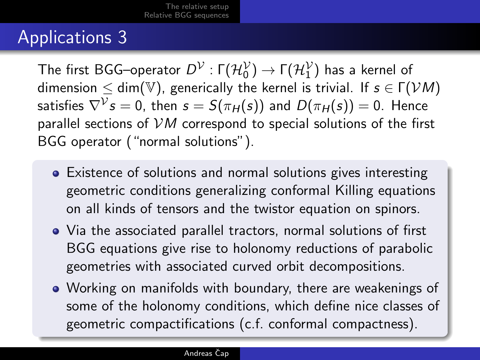### Applications 3

The first BGG–operator  $D^{\mathcal{V}}: \mathsf{\Gamma}(\mathcal{H}_0^{\mathcal{V}}) \to \mathsf{\Gamma}(\mathcal{H}_1^{\mathcal{V}})$  has a kernel of dimension  $\leq$  dim(V), generically the kernel is trivial. If  $s \in \Gamma(\mathcal{V}M)$ satisfies  $\nabla^{\mathcal{V}} s=0$ , then  $s=S(\pi_H(s))$  and  $D(\pi_H(s))=0.$  Hence parallel sections of  $VM$  correspond to special solutions of the first BGG operator ("normal solutions").

- Existence of solutions and normal solutions gives interesting geometric conditions generalizing conformal Killing equations on all kinds of tensors and the twistor equation on spinors.
- Via the associated parallel tractors, normal solutions of first BGG equations give rise to holonomy reductions of parabolic geometries with associated curved orbit decompositions.
- Working on manifolds with boundary, there are weakenings of some of the holonomy conditions, which define nice classes of geometric compactifications (c.f. conformal compactness).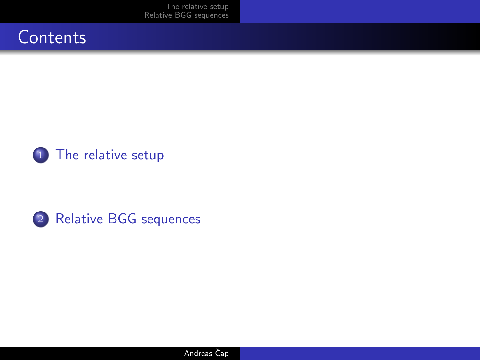[The relative setup](#page-6-0) [Relative BGG sequences](#page-9-0)







Andreas Čap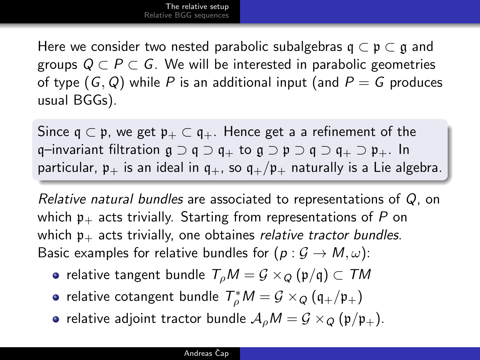Here we consider two nested parabolic subalgebras  $\mathfrak{q} \subset \mathfrak{p} \subset \mathfrak{q}$  and groups  $Q \subset P \subset G$ . We will be interested in parabolic geometries of type  $(G, Q)$  while P is an additional input (and  $P = G$  produces usual BGGs).

Since  $\mathfrak{q} \subset \mathfrak{p}$ , we get  $\mathfrak{p}_+ \subset \mathfrak{q}_+$ . Hence get a a refinement of the q–invariant filtration  $\mathfrak{g} \supset \mathfrak{q} \supset \mathfrak{q}_+$  to  $\mathfrak{g} \supset \mathfrak{p} \supset \mathfrak{q} \supset \mathfrak{q}_+ \supset \mathfrak{p}_+$ . In particular,  $p_+$  is an ideal in  $q_+$ , so  $q_+/p_+$  naturally is a Lie algebra.

Relative natural bundles are associated to representations of Q, on which  $\mathfrak{p}_+$  acts trivially. Starting from representations of P on which  $p_{+}$  acts trivially, one obtaines relative tractor bundles. Basic examples for relative bundles for  $(p: \mathcal{G} \to M, \omega)$ :

- relative tangent bundle  $T_{\rho}M = \mathcal{G} \times_{\mathcal{O}} (\mathfrak{p}/\mathfrak{q}) \subset \mathcal{T}M$
- relative cotangent bundle  $\mathcal{T}^*_\rho M = \mathcal{G} \times_Q (\mathfrak{q}_+/\mathfrak{p}_+)$
- <span id="page-6-0"></span>• relative adjoint tractor bundle  $A_0M = G \times_Q (p/p_+).$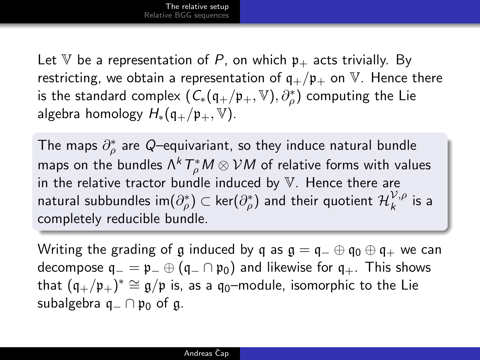Let V be a representation of P, on which  $p_{+}$  acts trivially. By restricting, we obtain a representation of  $q_+/p_+$  on  $V$ . Hence there is the standard complex  $(\, \mathsf{C}_*(\mathfrak{q}_+/\mathfrak{p}_+,\mathbb{V}),\partial^*_\rho \,)$  computing the Lie algebra homology  $H_*(\mathfrak{q}_+/ \mathfrak{p}_+, \mathbb{V}).$ 

The maps  $\partial_\rho^*$  are  $Q$ –equivariant, so they induce natural bundle maps on the bundles  $\Lambda^k\, T^*_\rho M \otimes \mathcal{V} M$  of relative forms with values in the relative tractor bundle induced by  $V$ . Hence there are natural subbundles im $(\partial_\rho^*)\subset\ker(\partial_\rho^*)$  and their quotient  $\mathcal{H}_k^{\mathcal{V},\rho}$  $\begin{matrix} V, \rho \\ k \end{matrix}$  is a completely reducible bundle.

Writing the grading of g induced by q as  $\mathfrak{g} = \mathfrak{q}_- \oplus \mathfrak{q}_0 \oplus \mathfrak{q}_+$  we can decompose  $q_ - = p_ - \oplus (q_ - \cap p_0)$  and likewise for  $q_+$ . This shows that  $(\mathfrak{q}_+/\mathfrak{p}_+)^\ast\cong\mathfrak{g}/\mathfrak{p}$  is, as a  $\mathfrak{q}_0-$ module, isomorphic to the Lie subalgebra  $q_-\cap p_0$  of g.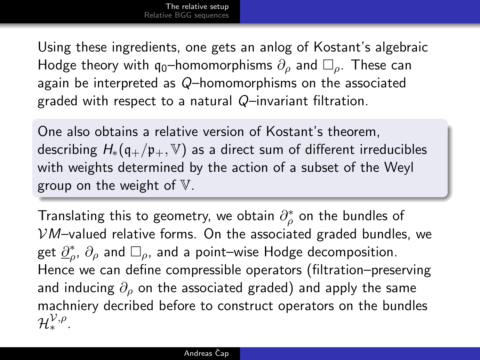Using these ingredients, one gets an anlog of Kostant's algebraic Hodge theory with  $q_0$ –homomorphisms  $\partial_{\rho}$  and  $\Box_{\rho}$ . These can again be interpreted as Q–homomorphisms on the associated graded with respect to a natural Q–invariant filtration.

One also obtains a relative version of Kostant's theorem, describing  $H_*(\mathfrak{g}_+/\mathfrak{p}_+, \mathbb{V})$  as a direct sum of different irreducibles with weights determined by the action of a subset of the Weyl group on the weight of  $V$ .

Translating this to geometry, we obtain  $\partial_\rho^*$  on the bundles of  $VM$ –valued relative forms. On the associated graded bundles, we get  $\underline{\partial}_\rho^*,\,\partial_\rho$  and  $\Box_\rho$ , and a point–wise Hodge decomposition. Hence we can define compressible operators (filtration–preserving and inducing  $\partial_{\rho}$  on the associated graded) and apply the same machniery decribed before to construct operators on the bundles  $\mathcal{H}_*^{\mathcal{V},\rho}.$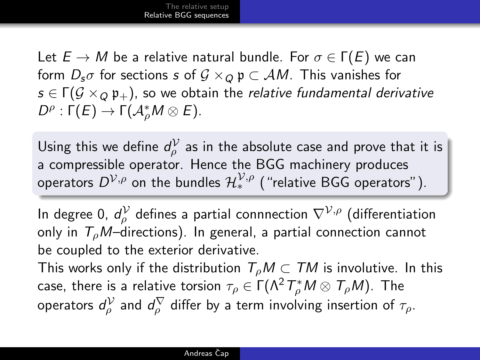Let  $E \to M$  be a relative natural bundle. For  $\sigma \in \Gamma(E)$  we can form  $D_s\sigma$  for sections s of  $G \times_Q \mathfrak{p} \subset AM$ . This vanishes for  $s \in \Gamma(G \times_0 \mathfrak{p}_+)$ , so we obtain the relative fundamental derivative  $D^{\rho} : \Gamma(E) \rightarrow \Gamma(\mathcal{A}_{\rho}^* M \otimes E).$ 

Using this we define  $d_{\rho}^{\cal V}$  as in the absolute case and prove that it is a compressible operator. Hence the BGG machinery produces operators  $D^{\mathcal{V},\rho}$  on the bundles  $\mathcal{H}^{\mathcal{V},\rho}_*$  ("relative BGG operators").

In degree 0,  $d_\rho^\mathcal{V}$  defines a partial connnection  $\nabla^{\mathcal{V},\rho}$  (differentiation only in  $T_0M$ –directions). In general, a partial connection cannot be coupled to the exterior derivative.

<span id="page-9-0"></span>This works only if the distribution  $T_{\rho}M\subset TM$  is involutive. In this case, there is a relative torsion  $\tau_\rho\in \Gamma(\Lambda^2\,T_\rho^*\,M\otimes\,T_\rho M).$  The operators  $d_\rho^\mathcal{V}$  and  $d_\rho^\nabla$  differ by a term involving insertion of  $\tau_\rho.$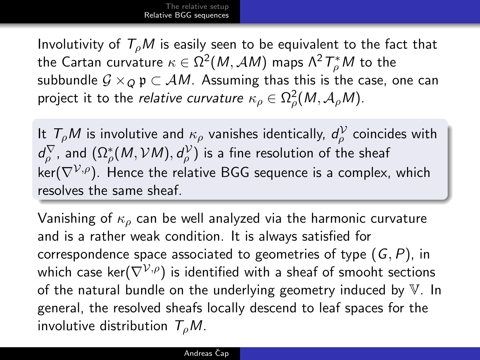Involutivity of  $T_{\rho}M$  is easily seen to be equivalent to the fact that the Cartan curvature  $\kappa\in\Omega^2(\mathit{M},\mathcal{A}\mathit{M})$  maps  $\Lambda^2\, T^*_\rho\mathit{M}$  to the subbundle  $\mathcal{G} \times_Q \mathfrak{p} \subset \mathcal{A}M$ . Assuming thas this is the case, one can project it to the *relative curvature*  $\kappa_\rho\in \Omega^2_\rho(M,\mathcal{A}_\rho M).$ 

It  $T_\rho M$  is involutive and  $\kappa_\rho$  vanishes identically,  $d_\rho^\mathcal{V}$  coincides with  $d_\rho^\nabla$ , and  $(\Omega_\rho^*(M, {\cal V}M), d_\rho^\mathcal{V})$  is a fine resolution of the sheaf  $ker(\nabla^{\mathcal{V},\rho})$ . Hence the relative BGG sequence is a complex, which resolves the same sheaf.

Vanishing of  $\kappa_o$  can be well analyzed via the harmonic curvature and is a rather weak condition. It is always satisfied for correspondence space associated to geometries of type  $(G, P)$ , in which case ker( $\nabla^{\mathcal{V},\rho}$ ) is identified with a sheaf of smooht sections of the natural bundle on the underlying geometry induced by  $V$ . In general, the resolved sheafs locally descend to leaf spaces for the involutive distribution  $T<sub>e</sub>M$ .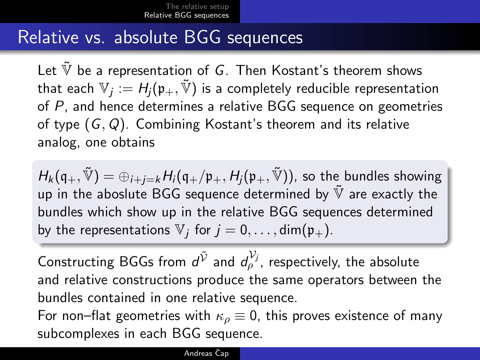#### Relative vs. absolute BGG sequences

Let  $\tilde{\mathbb{V}}$  be a representation of G. Then Kostant's theorem shows that each  $\mathbb{V}_j:=H_j(\mathfrak{p}_+,\tilde{\mathbb{V}})$  is a completely reducible representation of P, and hence determines a relative BGG sequence on geometries of type  $(G, Q)$ . Combining Kostant's theorem and its relative analog, one obtains

 $H_k(\mathfrak{q}_+,\tilde{\mathbb{V}})=\oplus_{i+j=k}H_i(\mathfrak{q}_+/p_+,H_i(\mathfrak{p}_+,\tilde{\mathbb{V}}))$ , so the bundles showing up in the aboslute BGG sequence determined by  $\tilde{V}$  are exactly the bundles which show up in the relative BGG sequences determined by the representations  $\mathbb{V}_j$  for  $j = 0, \ldots, \text{dim}(\mathfrak{p}_+)$ .

Constructing BGGs from  $d^{\tilde{\mathcal{V}}}$  and  $d^{\mathcal{V}_j}_\rho$ , respectively, the absolute and relative constructions produce the same operators between the bundles contained in one relative sequence. For non–flat geometries with  $\kappa_{\rho} \equiv 0$ , this proves existence of many subcomplexes in each BGG sequence.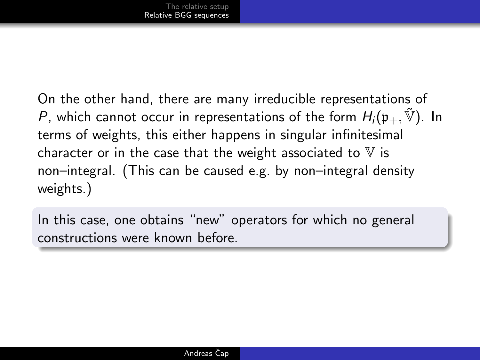On the other hand, there are many irreducible representations of P, which cannot occur in representations of the form  $H_i(\mathfrak{p}_+,\tilde{V})$ . In terms of weights, this either happens in singular infinitesimal character or in the case that the weight associated to  $V$  is non–integral. (This can be caused e.g. by non–integral density weights.)

In this case, one obtains "new" operators for which no general constructions were known before.